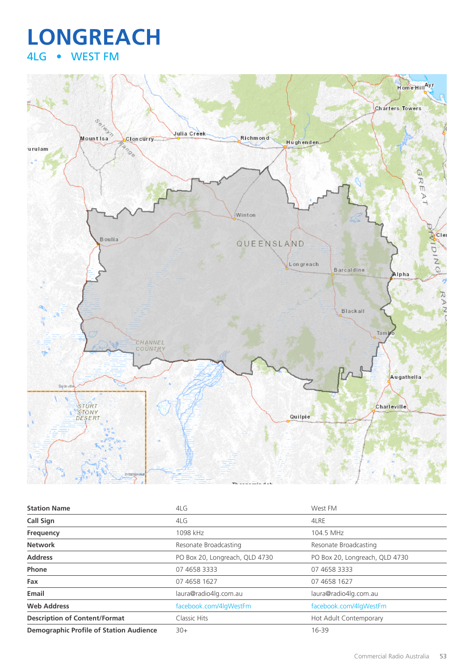## **LONGREACH** 4LG • WEST FM



| <b>Station Name</b>                            | 4LG                            | West FM                        |
|------------------------------------------------|--------------------------------|--------------------------------|
| <b>Call Sign</b>                               | 4LG                            | 4LRE                           |
| Frequency                                      | 1098 kHz                       | 104.5 MHz                      |
| <b>Network</b>                                 | Resonate Broadcasting          | Resonate Broadcasting          |
| <b>Address</b>                                 | PO Box 20, Longreach, QLD 4730 | PO Box 20, Longreach, QLD 4730 |
| Phone                                          | 07 4658 3333                   | 07 4658 3333                   |
| Fax                                            | 07 4658 1627                   | 07 4658 1627                   |
| Email                                          | laura@radio4lg.com.au          | laura@radio4lg.com.au          |
| <b>Web Address</b>                             | facebook.com/4lgWestFm         | facebook.com/4lgWestFm         |
| <b>Description of Content/Format</b>           | Classic Hits                   | Hot Adult Contemporary         |
| <b>Demographic Profile of Station Audience</b> | $30+$                          | 16-39                          |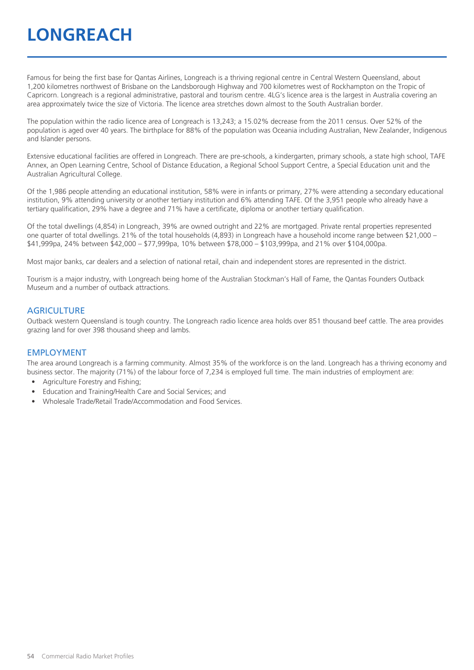## **LONGREACH**

Famous for being the first base for Qantas Airlines, Longreach is a thriving regional centre in Central Western Queensland, about 1,200 kilometres northwest of Brisbane on the Landsborough Highway and 700 kilometres west of Rockhampton on the Tropic of Capricorn. Longreach is a regional administrative, pastoral and tourism centre. 4LG's licence area is the largest in Australia covering an area approximately twice the size of Victoria. The licence area stretches down almost to the South Australian border.

The population within the radio licence area of Longreach is 13,243; a 15.02% decrease from the 2011 census. Over 52% of the population is aged over 40 years. The birthplace for 88% of the population was Oceania including Australian, New Zealander, Indigenous and Islander persons.

Extensive educational facilities are offered in Longreach. There are pre-schools, a kindergarten, primary schools, a state high school, TAFE Annex, an Open Learning Centre, School of Distance Education, a Regional School Support Centre, a Special Education unit and the Australian Agricultural College.

Of the 1,986 people attending an educational institution, 58% were in infants or primary, 27% were attending a secondary educational institution, 9% attending university or another tertiary institution and 6% attending TAFE. Of the 3,951 people who already have a tertiary qualification, 29% have a degree and 71% have a certificate, diploma or another tertiary qualification.

Of the total dwellings (4,854) in Longreach, 39% are owned outright and 22% are mortgaged. Private rental properties represented one quarter of total dwellings. 21% of the total households (4,893) in Longreach have a household income range between \$21,000 – \$41,999pa, 24% between \$42,000 – \$77,999pa, 10% between \$78,000 – \$103,999pa, and 21% over \$104,000pa.

Most major banks, car dealers and a selection of national retail, chain and independent stores are represented in the district.

Tourism is a major industry, with Longreach being home of the Australian Stockman's Hall of Fame, the Qantas Founders Outback Museum and a number of outback attractions.

#### **AGRICULTURE**

Outback western Queensland is tough country. The Longreach radio licence area holds over 851 thousand beef cattle. The area provides grazing land for over 398 thousand sheep and lambs.

#### EMPLOYMENT

The area around Longreach is a farming community. Almost 35% of the workforce is on the land. Longreach has a thriving economy and business sector. The majority (71%) of the labour force of 7,234 is employed full time. The main industries of employment are:

- Agriculture Forestry and Fishing;
- Education and Training/Health Care and Social Services; and
- Wholesale Trade/Retail Trade/Accommodation and Food Services.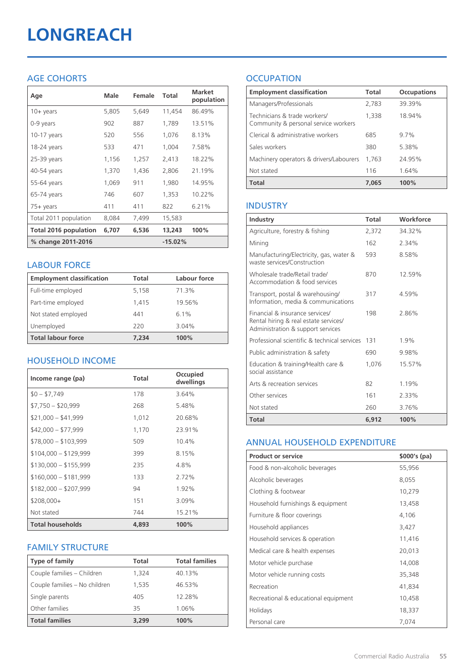# **LONGREACH**

### AGE COHORTS

| Age                          | Male  | Female | Total     | <b>Market</b><br>population |
|------------------------------|-------|--------|-----------|-----------------------------|
| $10 + \gamma$ ears           | 5,805 | 5,649  | 11,454    | 86.49%                      |
| 0-9 years                    | 902   | 887    | 1,789     | 13.51%                      |
| $10-17$ years                | 520   | 556    | 1,076     | 8.13%                       |
| 18-24 years                  | 533   | 471    | 1,004     | 7.58%                       |
| $25-39$ years                | 1,156 | 1,257  | 2,413     | 18.22%                      |
| 40-54 years                  | 1,370 | 1,436  | 2,806     | 21.19%                      |
| 55-64 years                  | 1,069 | 911    | 1,980     | 14.95%                      |
| 65-74 years                  | 746   | 607    | 1,353     | 10.22%                      |
| 75+ years                    | 411   | 411    | 822       | 6.21%                       |
| Total 2011 population        | 8,084 | 7,499  | 15,583    |                             |
| <b>Total 2016 population</b> | 6,707 | 6,536  | 13,243    | 100%                        |
| % change 2011-2016           |       |        | $-15.02%$ |                             |

#### LABOUR FORCE

| <b>Employment classification</b> | Total | Labour force |
|----------------------------------|-------|--------------|
| Full-time employed               | 5,158 | 71.3%        |
| Part-time employed               | 1,415 | 19.56%       |
| Not stated employed              | 441   | 6.1%         |
| Unemployed                       | 220   | 3.04%        |
| <b>Total labour force</b>        | 7.234 | 100%         |

#### HOUSEHOLD INCOME

| Income range (pa)       | <b>Total</b> | Occupied<br>dwellings |
|-------------------------|--------------|-----------------------|
| $$0 - $7,749$           | 178          | 3.64%                 |
| $$7,750 - $20,999$      | 268          | 5.48%                 |
| $$21,000 - $41,999$     | 1,012        | 20.68%                |
| $$42,000 - $77,999$     | 1,170        | 23.91%                |
| $$78,000 - $103,999$    | 509          | 10.4%                 |
| $$104,000 - $129,999$   | 399          | 8.15%                 |
| $$130,000 - $155,999$   | 235          | 4.8%                  |
| $$160,000 - $181,999$   | 133          | 2.72%                 |
| $$182,000 - $207,999$   | 94           | 1.92%                 |
| $$208,000+$             | 151          | 3.09%                 |
| Not stated              | 744          | 15.21%                |
| <b>Total households</b> | 4,893        | 100%                  |

#### FAMILY STRUCTURE

| <b>Type of family</b>         | <b>Total</b> | <b>Total families</b> |
|-------------------------------|--------------|-----------------------|
| Couple families - Children    | 1,324        | 40.13%                |
| Couple families - No children | 1,535        | 46.53%                |
| Single parents                | 405          | 12.28%                |
| Other families                | 35           | 1.06%                 |
| <b>Total families</b>         | 3,299        | 100%                  |

### **OCCUPATION**

| <b>Employment classification</b>                                     | <b>Total</b> | <b>Occupations</b> |
|----------------------------------------------------------------------|--------------|--------------------|
| Managers/Professionals                                               | 2,783        | 39.39%             |
| Technicians & trade workers/<br>Community & personal service workers | 1,338        | 18.94%             |
| Clerical & administrative workers                                    | 685          | 9.7%               |
| Sales workers                                                        | 380          | 5.38%              |
| Machinery operators & drivers/Labourers                              | 1,763        | 24.95%             |
| Not stated                                                           | 116          | 1.64%              |
| <b>Total</b>                                                         | 7.065        | 100%               |

#### INDUSTRY

| Industry                                                                                                      | Total | Workforce |
|---------------------------------------------------------------------------------------------------------------|-------|-----------|
| Agriculture, forestry & fishing                                                                               | 2,372 | 34.32%    |
| Mining                                                                                                        | 162   | 2.34%     |
| Manufacturing/Electricity, gas, water &<br>waste services/Construction                                        | 593   | 8.58%     |
| Wholesale trade/Retail trade/<br>Accommodation & food services                                                | 870   | 12.59%    |
| Transport, postal & warehousing/<br>Information, media & communications                                       | 317   | 4.59%     |
| Financial & insurance services/<br>Rental hiring & real estate services/<br>Administration & support services | 198   | 2.86%     |
| Professional scientific & technical services                                                                  | 131   | 1.9%      |
| Public administration & safety                                                                                | 690   | 9.98%     |
| Education & training/Health care &<br>social assistance                                                       | 1.076 | 15.57%    |
| Arts & recreation services                                                                                    | 82    | 1.19%     |
| Other services                                                                                                | 161   | 2.33%     |
| Not stated                                                                                                    | 260   | 3.76%     |
| Total                                                                                                         | 6,912 | 100%      |

#### ANNUAL HOUSEHOLD EXPENDITURE

| <b>Product or service</b>            | $$000's$ (pa) |
|--------------------------------------|---------------|
| Food & non-alcoholic beverages       | 55,956        |
| Alcoholic beverages                  | 8,055         |
| Clothing & footwear                  | 10,279        |
| Household furnishings & equipment    | 13,458        |
| Furniture & floor coverings          | 4,106         |
| Household appliances                 | 3,427         |
| Household services & operation       | 11,416        |
| Medical care & health expenses       | 20,013        |
| Motor vehicle purchase               | 14,008        |
| Motor vehicle running costs          | 35,348        |
| Recreation                           | 41,834        |
| Recreational & educational equipment | 10,458        |
| Holidays                             | 18,337        |
| Personal care                        | 7,074         |